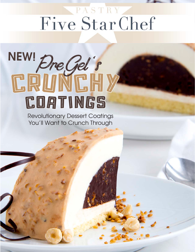# Five StarChef



Revolutionary Dessert Coatings You'll Want to Crunch Through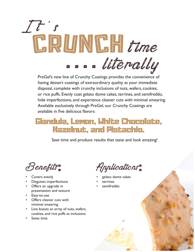

PreGel's new line of Crunchy Coatings provides the convenience of having dessert coatings of extraordinary quality at your immediate disposal, complete with crunchy inclusions of nuts, wafers, cookies, or rice puffs. Evenly coat gelato dome cakes, terrines, and semifreddo, hide imperfections, and experience cleaner cuts with minimal smearing. Available exclusively through PreGel, our Crunchy Coatings are available in five delicious flavors:

## Gianduia, Lemon, White Chocolate, Hazelnut, and Pistachio.

Save time and produce results that taste and look amazing!

Benefits:

- Covers evenly
- Disguises imperfections
- Offers an upgrade in presentation and texture
- Easy-to-use
- Offers cleaner cuts with minimal smearing
- Line boasts an array of nuts, wafers, cookies, and rice puffs as inclusions
- Saves time

Applications:

- gelato dome cakes
- **terrines**
- semifreddo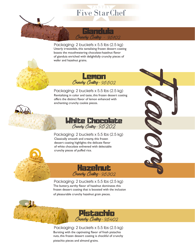# Five StarChef

#### Gianduia Crunchy Coating - 95102

Packaging: 2 buckets x 5.5 lbs (2.5 kg) Utterly irresistible, this tantalizing frozen dessert coating boasts the mouthwatering chocolate-hazelnut flavor of gianduia enriched with delightfully crunchy pieces of wafer and hazelnut grains.





Packaging: 2 buckets x 5.5 lbs (2.5 kg) Revitalizing in color and taste, this frozen dessert coating offers the distinct flavor of lemon enhanced with enchanting crunchy cookie pieces.



F la Cole Cole Side

Packaging: 2 buckets x 5.5 lbs (2.5 kg) Classically smooth and creamy, this frozen dessert coating highlights the delicate flavor of white chocolate enlivened with delectable crunchy pieces of puffed rice.





Packaging: 2 buckets x 5.5 lbs (2.5 kg) The buttery, earthy flavor of hazelnut dominates this frozen dessert coating that is boosted with the inclusion of pleasurable crunchy hazelnut grain pieces.



Packaging: 2 buckets x 5.5 lbs (2.5 kg) Bursting with the captivating flavor of fresh pistachio nuts, this frozen dessert coating is chockful of crunchy pistachio pieces and almond grains.